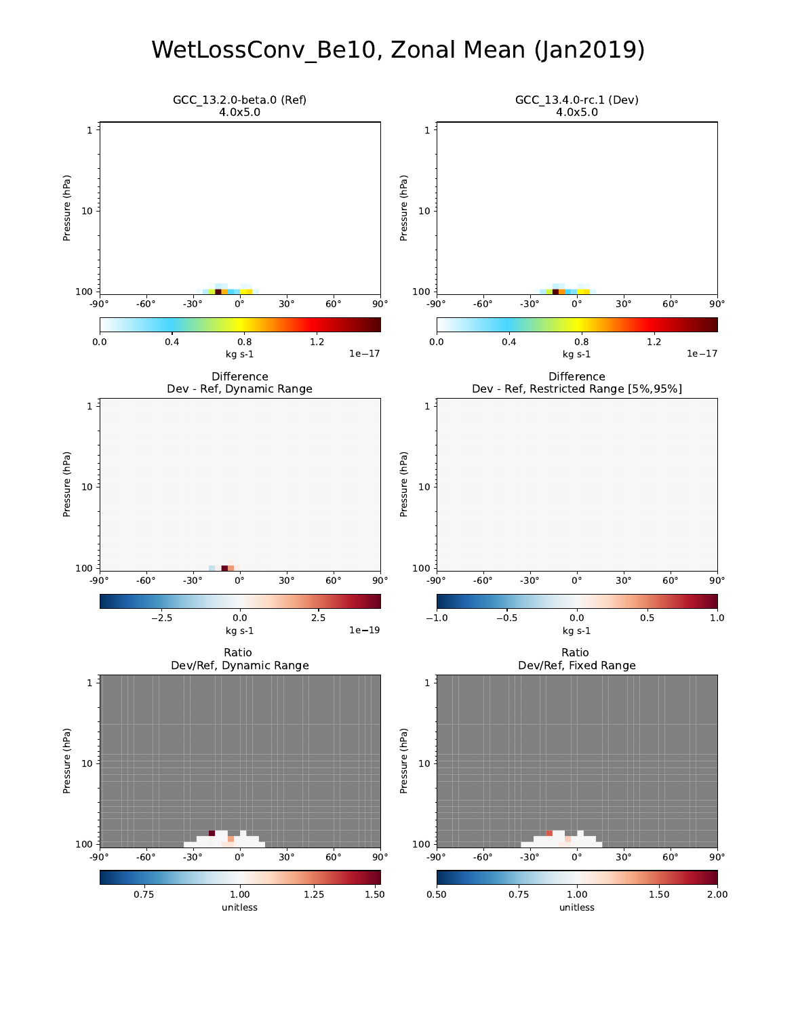# WetLossConv\_Be10, Zonal Mean (Jan2019)

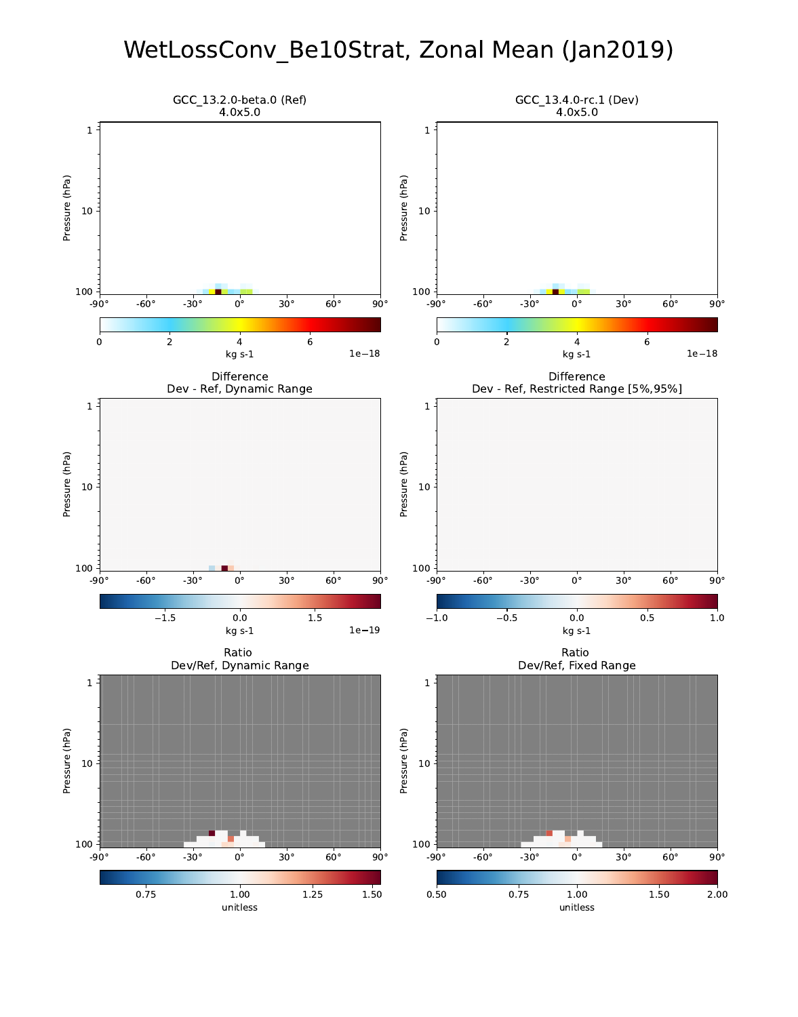## WetLossConv\_Be10Strat, Zonal Mean (Jan2019)

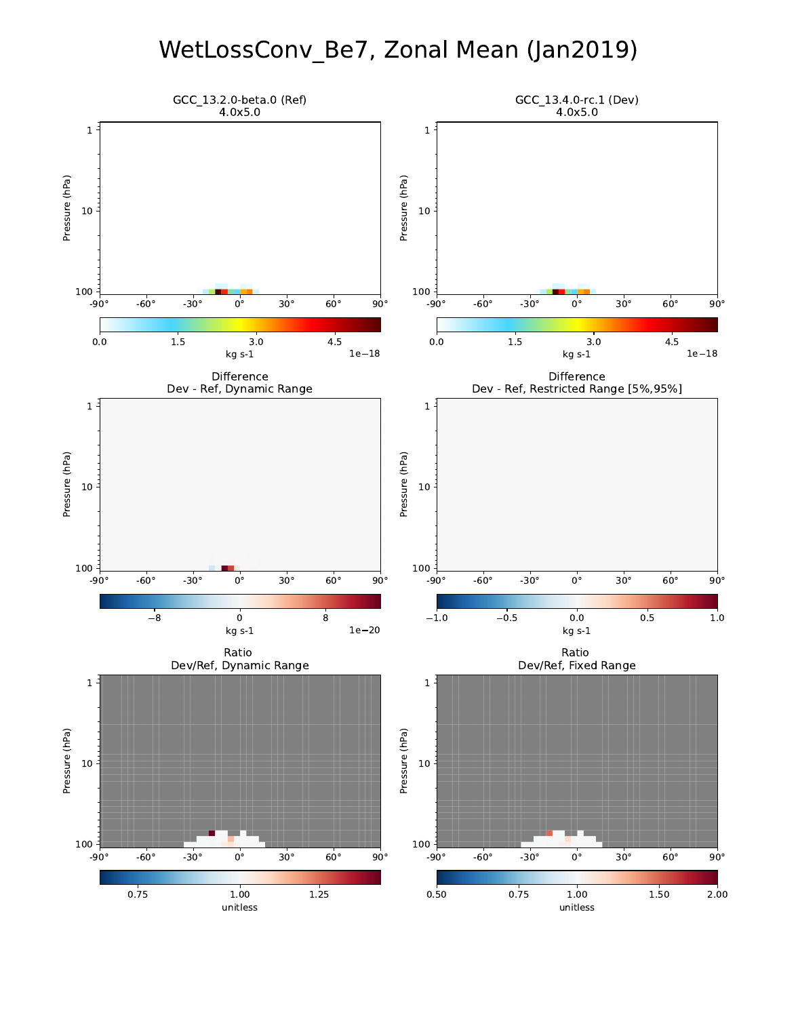# WetLossConv\_Be7, Zonal Mean (Jan2019)

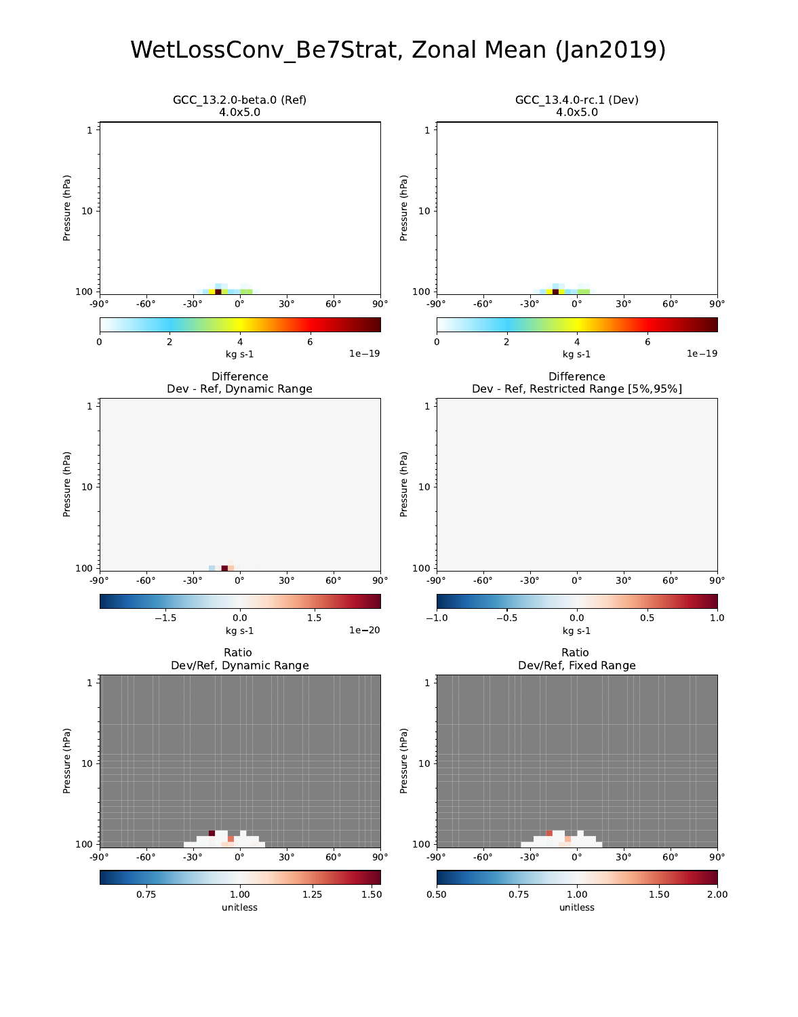## WetLossConv\_Be7Strat, Zonal Mean (Jan2019)

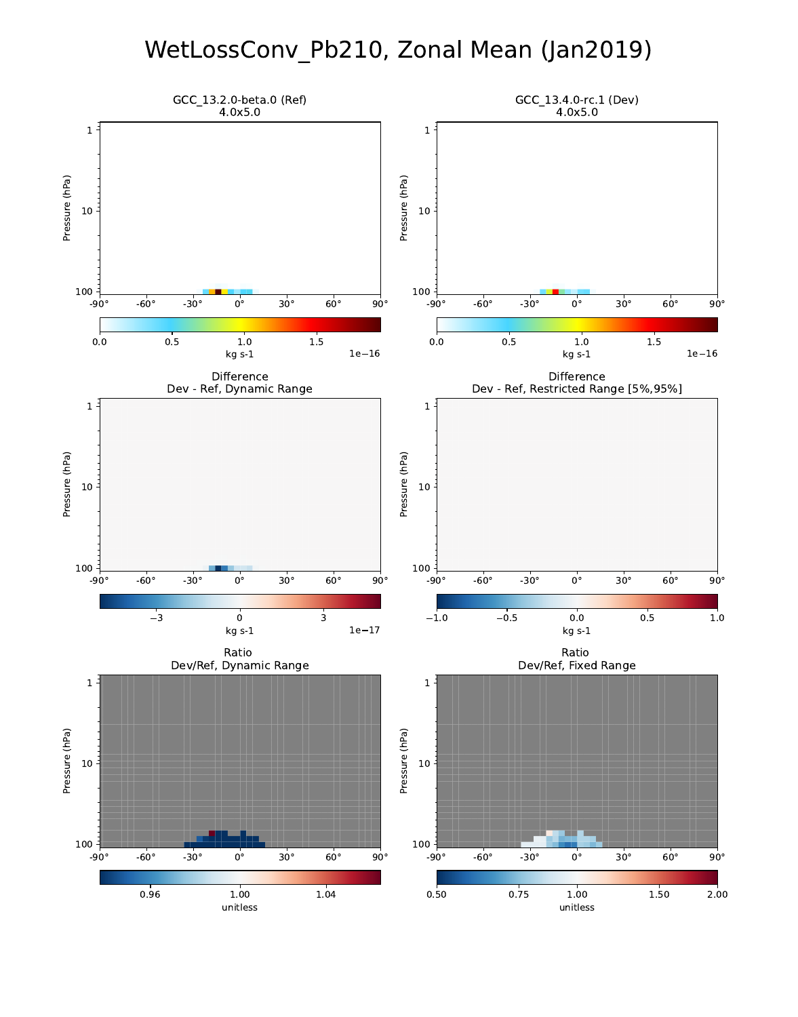# WetLossConv\_Pb210, Zonal Mean (Jan2019)